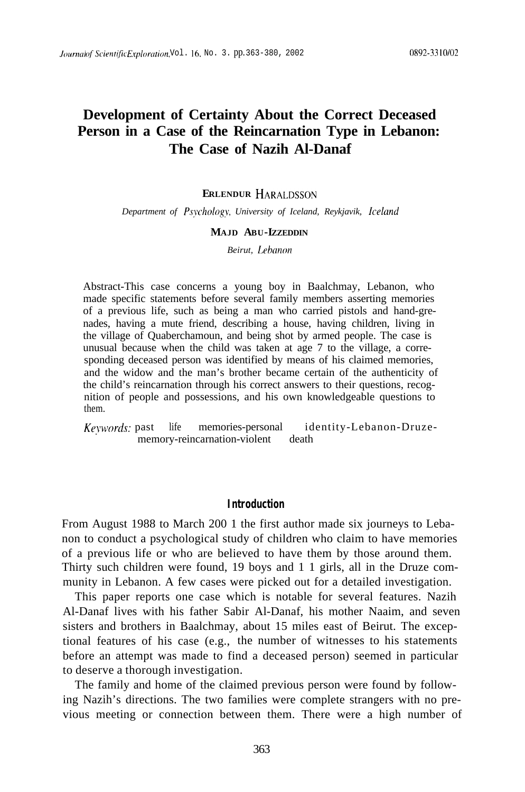## **Development of Certainty About the Correct Deceased Person in a Case of the Reincarnation Type in Lebanon: The Case of Nazih Al-Danaf**

#### **ERLENDUR HARALDSSON**

Department of Psychology, University of Iceland, Reykjavik, Iceland

#### **MAJD ABU-IZZEDDIN**

*Beirut, Lebanon* 

Abstract-This case concerns a young boy in Baalchmay, Lebanon, who made specific statements before several family members asserting memories of a previous life, such as being a man who carried pistols and hand-grenades, having a mute friend, describing a house, having children, living in the village of Quaberchamoun, and being shot by armed people. The case is unusual because when the child was taken at age 7 to the village, a corresponding deceased person was identified by means of his claimed memories, and the widow and the man's brother became certain of the authenticity of the child's reincarnation through his correct answers to their questions, recognition of people and possessions, and his own knowledgeable questions to them.

Keywords: past life memories-personal identity-Lebanon-Druzememory-reincarnation-violent death

#### **Introduction**

From August 1988 to March 200 1 the first author made six journeys to Lebanon to conduct a psychological study of children who claim to have memories of a previous life or who are believed to have them by those around them. Thirty such children were found, 19 boys and 1 1 girls, all in the Druze community in Lebanon. A few cases were picked out for a detailed investigation.

This paper reports one case which is notable for several features. Nazih Al-Danaf lives with his father Sabir Al-Danaf, his mother Naaim, and seven sisters and brothers in Baalchmay, about 15 miles east of Beirut. The exceptional features of his case (e.g., the number of witnesses to his statements before an attempt was made to find a deceased person) seemed in particular to deserve a thorough investigation.

The family and home of the claimed previous person were found by following Nazih's directions. The two families were complete strangers with no previous meeting or connection between them. There were a high number of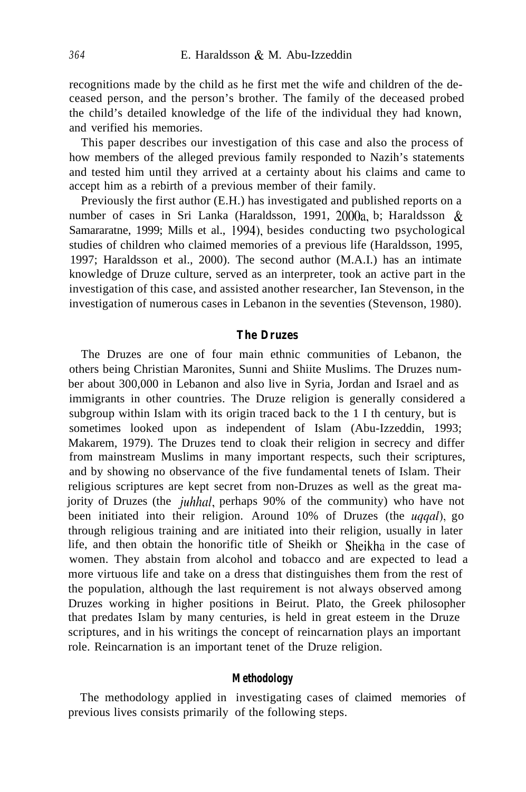recognitions made by the child as he first met the wife and children of the deceased person, and the person's brother. The family of the deceased probed the child's detailed knowledge of the life of the individual they had known, and verified his memories.

This paper describes our investigation of this case and also the process of how members of the alleged previous family responded to Nazih's statements and tested him until they arrived at a certainty about his claims and came to accept him as a rebirth of a previous member of their family.

Previously the first author (E.H.) has investigated and published reports on a number of cases in Sri Lanka (Haraldsson, 1991, 2000a, b; Haraldsson  $\&$ Samararatne, 1999; Mills et al., 1994), besides conducting two psychological studies of children who claimed memories of a previous life (Haraldsson, 1995, 1997; Haraldsson et al., 2000). The second author (M.A.I.) has an intimate knowledge of Druze culture, served as an interpreter, took an active part in the investigation of this case, and assisted another researcher, Ian Stevenson, in the investigation of numerous cases in Lebanon in the seventies (Stevenson, 1980).

#### **The Druzes**

The Druzes are one of four main ethnic communities of Lebanon, the others being Christian Maronites, Sunni and Shiite Muslims. The Druzes number about 300,000 in Lebanon and also live in Syria, Jordan and Israel and as immigrants in other countries. The Druze religion is generally considered a subgroup within Islam with its origin traced back to the 1 I th century, but is sometimes looked upon as independent of Islam (Abu-Izzeddin, 1993; Makarem, 1979). The Druzes tend to cloak their religion in secrecy and differ from mainstream Muslims in many important respects, such their scriptures, and by showing no observance of the five fundamental tenets of Islam. Their religious scriptures are kept secret from non-Druzes as well as the great majority of Druzes (the *juhhal,* perhaps 90% of the community) who have not been initiated into their religion. Around 10% of Druzes (the uqqal), go through religious training and are initiated into their religion, usually in later life, and then obtain the honorific title of Sheikh or Sheikha in the case of women. They abstain from alcohol and tobacco and are expected to lead a more virtuous life and take on a dress that distinguishes them from the rest of the population, although the last requirement is not always observed among Druzes working in higher positions in Beirut. Plato, the Greek philosopher that predates Islam by many centuries, is held in great esteem in the Druze scriptures, and in his writings the concept of reincarnation plays an important role. Reincarnation is an important tenet of the Druze religion.

## **Methodology**

The methodology applied in investigating cases of claimed memories ofprevious lives consists primarily of the following steps.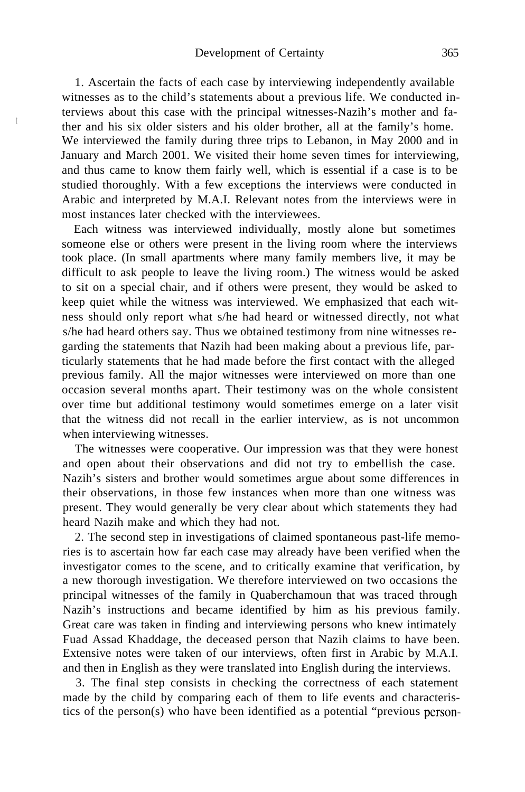1. Ascertain the facts of each case by interviewing independently available witnesses as to the child's statements about a previous life. We conducted interviews about this case with the principal witnesses-Nazih's mother and father and his six older sisters and his older brother, all at the family's home. We interviewed the family during three trips to Lebanon, in May 2000 and in January and March 2001. We visited their home seven times for interviewing, and thus came to know them fairly well, which is essential if a case is to be studied thoroughly. With a few exceptions the interviews were conducted in Arabic and interpreted by M.A.I. Relevant notes from the interviews were in most instances later checked with the interviewees.

t

Each witness was interviewed individually, mostly alone but sometimes someone else or others were present in the living room where the interviews took place. (In small apartments where many family members live, it may be difficult to ask people to leave the living room.) The witness would be asked to sit on a special chair, and if others were present, they would be asked to keep quiet while the witness was interviewed. We emphasized that each witness should only report what s/he had heard or witnessed directly, not what s/he had heard others say. Thus we obtained testimony from nine witnesses regarding the statements that Nazih had been making about a previous life, particularly statements that he had made before the first contact with the alleged previous family. All the major witnesses were interviewed on more than one occasion several months apart. Their testimony was on the whole consistent over time but additional testimony would sometimes emerge on a later visit that the witness did not recall in the earlier interview, as is not uncommon when interviewing witnesses.

The witnesses were cooperative. Our impression was that they were honest and open about their observations and did not try to embellish the case. Nazih's sisters and brother would sometimes argue about some differences in their observations, in those few instances when more than one witness was present. They would generally be very clear about which statements they had heard Nazih make and which they had not.

2. The second step in investigations of claimed spontaneous past-life memories is to ascertain how far each case may already have been verified when the investigator comes to the scene, and to critically examine that verification, by a new thorough investigation. We therefore interviewed on two occasions the principal witnesses of the family in Quaberchamoun that was traced through Nazih's instructions and became identified by him as his previous family. Great care was taken in finding and interviewing persons who knew intimately Fuad Assad Khaddage, the deceased person that Nazih claims to have been. Extensive notes were taken of our interviews, often first in Arabic by M.A.I. and then in English as they were translated into English during the interviews.

3. The final step consists in checking the correctness of each statement made by the child by comparing each of them to life events and characteristics of the person(s) who have been identified as a potential "previous person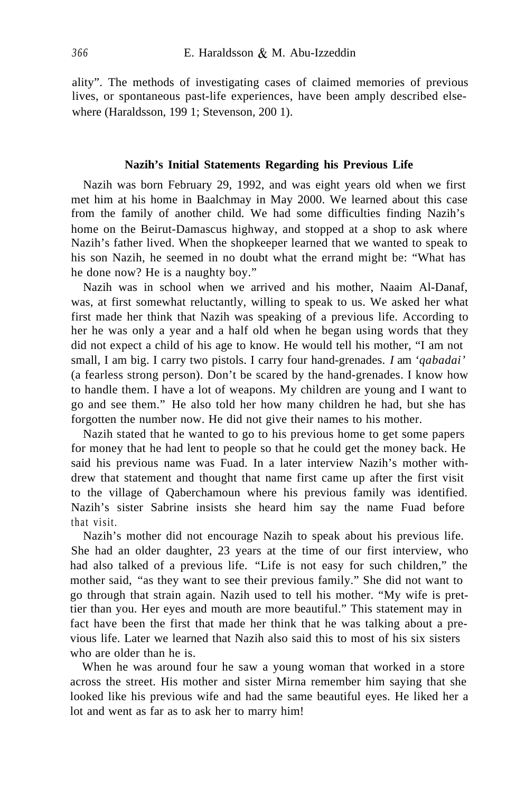ality". The methods of investigating cases of claimed memories of previous lives, or spontaneous past-life experiences, have been amply described elsewhere (Haraldsson, 1991; Stevenson, 2001).

#### **Nazih's Initial Statements Regarding his Previous Life**

Nazih was born February 29, 1992, and was eight years old when we first met him at his home in Baalchmay in May 2000. We learned about this case from the family of another child. We had some difficulties finding Nazih's home on the Beirut-Damascus highway, and stopped at a shop to ask where Nazih's father lived. When the shopkeeper learned that we wanted to speak to his son Nazih, he seemed in no doubt what the errand might be: "What has he done now? He is a naughty boy."

Nazih was in school when we arrived and his mother, Naaim Al-Danaf, was, at first somewhat reluctantly, willing to speak to us. We asked her what first made her think that Nazih was speaking of a previous life. According to her he was only a year and a half old when he began using words that they did not expect a child of his age to know. He would tell his mother, "I am not small, I am big. I carry two pistols. I carry four hand-grenades. *I* am *'qabadai'* (a fearless strong person). Don't be scared by the hand-grenades. I know how to handle them. I have a lot of weapons. My children are young and I want to go and see them." He also told her how many children he had, but she has forgotten the number now. He did not give their names to his mother.

Nazih stated that he wanted to go to his previous home to get some papers for money that he had lent to people so that he could get the money back. He said his previous name was Fuad. In a later interview Nazih's mother withdrew that statement and thought that name first came up after the first visit to the village of Qaberchamoun where his previous family was identified. Nazih's sister Sabrine insists she heard him say the name Fuad before that visit.

Nazih's mother did not encourage Nazih to speak about his previous life. She had an older daughter, 23 years at the time of our first interview, who had also talked of a previous life. "Life is not easy for such children," the mother said, "as they want to see their previous family." She did not want to go through that strain again. Nazih used to tell his mother. "My wife is prettier than you. Her eyes and mouth are more beautiful." This statement may in fact have been the first that made her think that he was talking about a previous life. Later we learned that Nazih also said this to most of his six sisters who are older than he is.

When he was around four he saw a young woman that worked in a store across the street. His mother and sister Mirna remember him saying that she looked like his previous wife and had the same beautiful eyes. He liked her a lot and went as far as to ask her to marry him!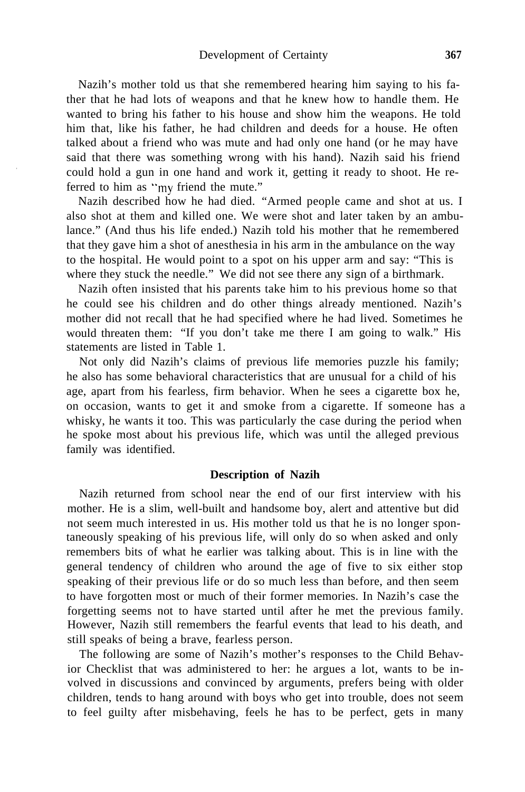Nazih's mother told us that she remembered hearing him saying to his father that he had lots of weapons and that he knew how to handle them. He wanted to bring his father to his house and show him the weapons. He told him that, like his father, he had children and deeds for a house. He often talked about a friend who was mute and had only one hand (or he may have said that there was something wrong with his hand). Nazih said his friend could hold a gun in one hand and work it, getting it ready to shoot. He referred to him as "my friend the mute."

Nazih described how he had died. "Armed people came and shot at us. I also shot at them and killed one. We were shot and later taken by an ambulance." (And thus his life ended.) Nazih told his mother that he remembered that they gave him a shot of anesthesia in his arm in the ambulance on the way to the hospital. He would point to a spot on his upper arm and say: "This is where they stuck the needle." We did not see there any sign of a birthmark.

Nazih often insisted that his parents take him to his previous home so that he could see his children and do other things already mentioned. Nazih's mother did not recall that he had specified where he had lived. Sometimes he would threaten them: "If you don't take me there I am going to walk." His statements are listed in Table 1.

Not only did Nazih's claims of previous life memories puzzle his family; he also has some behavioral characteristics that are unusual for a child of his age, apart from his fearless, firm behavior. When he sees a cigarette box he, on occasion, wants to get it and smoke from a cigarette. If someone has a whisky, he wants it too. This was particularly the case during the period when he spoke most about his previous life, which was until the alleged previous family was identified.

## **Description of Nazih**

Nazih returned from school near the end of our first interview with his mother. He is a slim, well-built and handsome boy, alert and attentive but did not seem much interested in us. His mother told us that he is no longer spontaneously speaking of his previous life, will only do so when asked and only remembers bits of what he earlier was talking about. This is in line with the general tendency of children who around the age of five to six either stop speaking of their previous life or do so much less than before, and then seem to have forgotten most or much of their former memories. In Nazih's case the forgetting seems not to have started until after he met the previous family. However, Nazih still remembers the fearful events that lead to his death, and still speaks of being a brave, fearless person.

The following are some of Nazih's mother's responses to the Child Behavior Checklist that was administered to her: he argues a lot, wants to be involved in discussions and convinced by arguments, prefers being with older children, tends to hang around with boys who get into trouble, does not seem to feel guilty after misbehaving, feels he has to be perfect, gets in many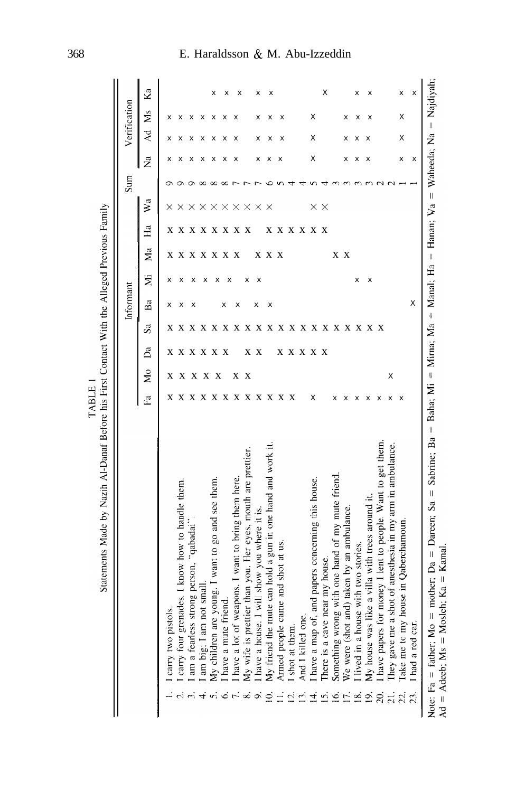|                                                                                |   |                         |    |    | Informant |   |              |          | Sum |   |   | Verification |    |
|--------------------------------------------------------------------------------|---|-------------------------|----|----|-----------|---|--------------|----------|-----|---|---|--------------|----|
|                                                                                | Ē | $\frac{1}{2}$           | Δã | Sa | Ba        | Ξ | Ê<br>Sã      | Š        |     | Ž | Z | ΣŇ           | Kа |
| I carry two pistols.                                                           |   | X                       |    |    | X         | X | X            |          |     |   |   | X            |    |
| I carry four grenades. I know how to handle them.                              |   |                         |    |    | x         | X | X            |          |     |   |   | X            |    |
| am a fearless strong person, "qabadai                                          |   | X                       |    |    |           | X | X            |          |     |   |   | X            |    |
| I am big; I am not smal.                                                       |   | $\mathbf x$             |    |    |           | X | X            |          |     |   | x | X            |    |
| My children are young. I want to go and see them.                              |   | $\mathbf x$             |    |    |           |   | X            |          |     |   | x | X            | X  |
| have a mute friend<br>$\dot{\circ}$                                            | X |                         |    |    | X         | x | X            |          |     |   |   | X            | X  |
| I have a lot of weapons. I want to bring them here.                            | X | X                       |    |    | X         |   | X            | $\times$ |     |   |   |              | X  |
| My wife is prettier than you. Her eyes, mouth are prettier<br>$_{\infty}$      | X | $\overline{\mathbf{x}}$ | X  |    |           | X |              | ×        |     |   |   |              |    |
| have a house. I will show you where it is.<br>$\circ$                          |   |                         | X  |    | X         | X | X            | $\times$ |     | x | x | X            | X  |
| My friend the mute can hold a gun in one hand and work it.<br>$\subseteq$      |   |                         |    |    | X         |   | X            |          |     | X | x | X            | X  |
| Armed people came and shot at us.                                              |   |                         | X  |    |           |   | X            |          |     |   |   | X            |    |
| shot at them.<br>$\overline{2}$                                                | X |                         | X  |    |           |   | X            |          |     |   |   |              |    |
| And I killed one.<br>$\tilde{\mathbb{E}}$                                      |   |                         | X  |    |           |   | X            |          |     |   |   |              |    |
| have a map of, and papers concerning this house.<br>보                          | Χ |                         | X  |    |           |   | X            |          |     | Χ | X | X            |    |
| There is a cave near my house.<br><u>ين</u>                                    |   |                         | X  |    |           |   |              | $\times$ |     |   |   |              | Χ  |
| Something wrong with one hand of my mute friend.<br>$\overline{6}$             |   |                         |    | x  |           |   | X            |          |     |   |   |              |    |
| We were (shot and) taken by an ambulance.<br>E.                                |   |                         |    |    |           |   | $\mathbf{X}$ |          |     | X | x | х            |    |
| lived in a house with two stories.<br>≌                                        |   |                         |    |    |           | X |              |          |     | X | x | X            | X  |
| My house was like a villa with trees around it.<br>ō.                          |   |                         |    |    |           | X |              |          |     | X | x | X            | x  |
| I have papers for money I lent to people. Want to get them.<br>$\overline{20}$ |   |                         |    |    |           |   |              |          |     |   |   |              |    |
| They gave me a shot of anesthesia in my arm in ambulance.                      | X | Χ                       |    |    |           |   |              |          |     |   |   |              |    |
| Take me to my house in Qaberchamoun                                            |   |                         |    |    |           |   |              |          |     | X | X | X            | X  |
| had a red car.<br>23.                                                          |   |                         |    |    | X         |   |              |          |     | X |   |              | X  |

TABLE 1<br>Statements Made by Nazih Al-Danaf Before his First Contact With the Alleged Previous Family

# 368 E. Haraldsson & M. Abu-Izzeddin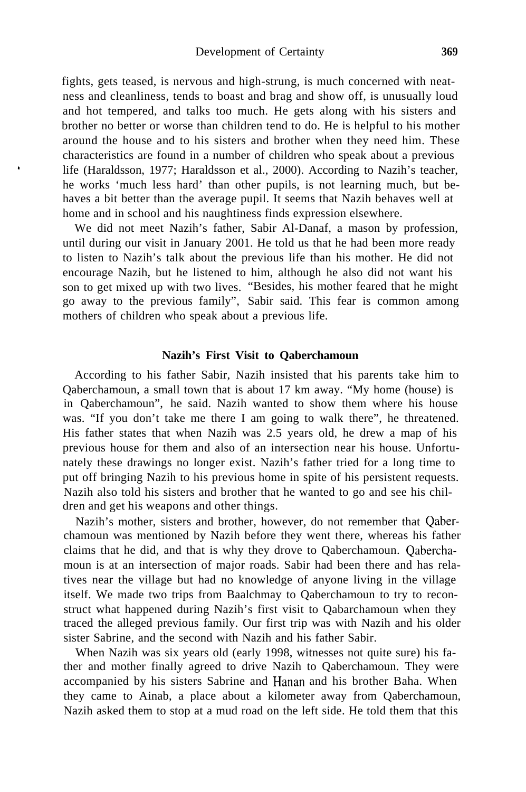fights, gets teased, is nervous and high-strung, is much concerned with neatness and cleanliness, tends to boast and brag and show off, is unusually loud and hot tempered, and talks too much. He gets along with his sisters and brother no better or worse than children tend to do. He is helpful to his mother around the house and to his sisters and brother when they need him. These characteristics are found in a number of children who speak about a previous life (Haraldsson, 1977; Haraldsson et al., 2000). According to Nazih's teacher, he works 'much less hard' than other pupils, is not learning much, but behaves a bit better than the average pupil. It seems that Nazih behaves well at home and in school and his naughtiness finds expression elsewhere.

We did not meet Nazih's father, Sabir Al-Danaf, a mason by profession, until during our visit in January 2001. He told us that he had been more ready to listen to Nazih's talk about the previous life than his mother. He did not encourage Nazih, but he listened to him, although he also did not want his son to get mixed up with two lives. "Besides, his mother feared that he might go away to the previous family", Sabir said. This fear is common among mothers of children who speak about a previous life.

## **Nazih's First Visit to Qaberchamoun**

According to his father Sabir, Nazih insisted that his parents take him to Qaberchamoun, a small town that is about 17 km away. "My home (house) is in Qaberchamoun", he said. Nazih wanted to show them where his house was. "If you don't take me there I am going to walk there", he threatened. His father states that when Nazih was 2.5 years old, he drew a map of his previous house for them and also of an intersection near his house. Unfortunately these drawings no longer exist. Nazih's father tried for a long time to put off bringing Nazih to his previous home in spite of his persistent requests. Nazih also told his sisters and brother that he wanted to go and see his children and get his weapons and other things.

Nazih's mother, sisters and brother, however, do not remember that Qaberchamoun was mentioned by Nazih before they went there, whereas his father claims that he did, and that is why they drove to Qaberchamoun. Qaberchamoun is at an intersection of major roads. Sabir had been there and has relatives near the village but had no knowledge of anyone living in the village itself. We made two trips from Baalchmay to Qaberchamoun to try to reconstruct what happened during Nazih's first visit to Qabarchamoun when they traced the alleged previous family. Our first trip was with Nazih and his older sister Sabrine, and the second with Nazih and his father Sabir.

When Nazih was six years old (early 1998, witnesses not quite sure) his father and mother finally agreed to drive Nazih to Qaberchamoun. They were accompanied by his sisters Sabrine and Hanan and his brother Baha. When they came to Ainab, a place about a kilometer away from Qaberchamoun, Nazih asked them to stop at a mud road on the left side. He told them that this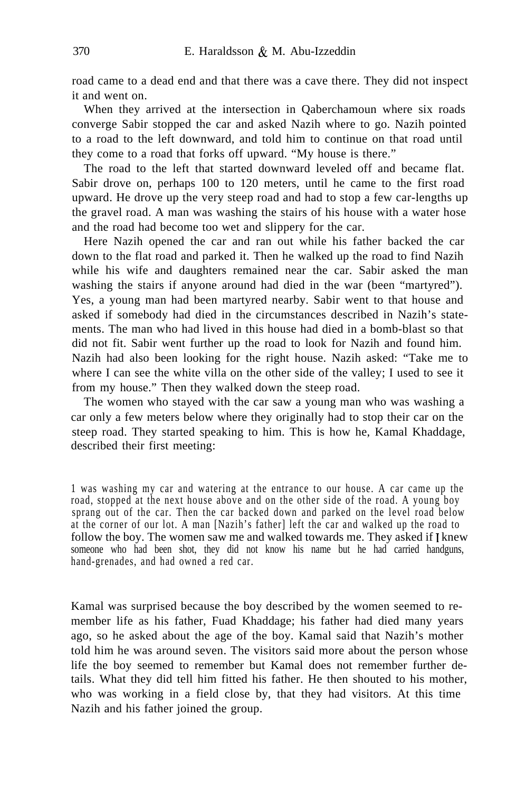road came to a dead end and that there was a cave there. They did not inspect it and went on.

When they arrived at the intersection in Qaberchamoun where six roads converge Sabir stopped the car and asked Nazih where to go. Nazih pointed to a road to the left downward, and told him to continue on that road until they come to a road that forks off upward. "My house is there."

The road to the left that started downward leveled off and became flat. Sabir drove on, perhaps 100 to 120 meters, until he came to the first road upward. He drove up the very steep road and had to stop a few car-lengths up the gravel road. A man was washing the stairs of his house with a water hose and the road had become too wet and slippery for the car.

Here Nazih opened the car and ran out while his father backed the car down to the flat road and parked it. Then he walked up the road to find Nazih while his wife and daughters remained near the car. Sabir asked the man washing the stairs if anyone around had died in the war (been "martyred"). Yes, a young man had been martyred nearby. Sabir went to that house and asked if somebody had died in the circumstances described in Nazih's statements. The man who had lived in this house had died in a bomb-blast so that did not fit. Sabir went further up the road to look for Nazih and found him. Nazih had also been looking for the right house. Nazih asked: "Take me to where I can see the white villa on the other side of the valley; I used to see it from my house." Then they walked down the steep road.

The women who stayed with the car saw a young man who was washing a car only a few meters below where they originally had to stop their car on the steep road. They started speaking to him. This is how he, Kamal Khaddage, described their first meeting:

1 was washing my car and watering at the entrance to our house. A car came up the road, stopped at the next house above and on the other side of the road. A young boy sprang out of the car. Then the car backed down and parked on the level road below at the corner of our lot. A man [Nazih's father] left the car and walked up the road to follow the boy. The women saw me and walked towards me. They asked if I knew someone who had been shot, they did not know his name but he had carried handguns, hand-grenades, and had owned a red car.

Kamal was surprised because the boy described by the women seemed to remember life as his father, Fuad Khaddage; his father had died many years ago, so he asked about the age of the boy. Kamal said that Nazih's mother told him he was around seven. The visitors said more about the person whose life the boy seemed to remember but Kamal does not remember further details. What they did tell him fitted his father. He then shouted to his mother, who was working in a field close by, that they had visitors. At this time Nazih and his father joined the group.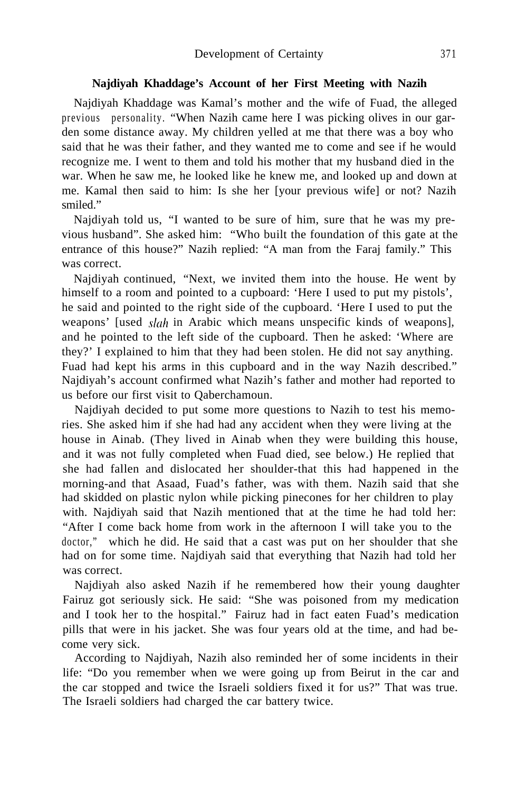## **Najdiyah Khaddage's Account of her First Meeting with Nazih**

Najdiyah Khaddage was Kamal's mother and the wife of Fuad, the alleged previous personality. "When Nazih came here I was picking olives in our garden some distance away. My children yelled at me that there was a boy who said that he was their father, and they wanted me to come and see if he would recognize me. I went to them and told his mother that my husband died in the war. When he saw me, he looked like he knew me, and looked up and down at me. Kamal then said to him: Is she her [your previous wife] or not? Nazih smiled."

Najdiyah told us, "I wanted to be sure of him, sure that he was my previous husband". She asked him: "Who built the foundation of this gate at the entrance of this house?" Nazih replied: "A man from the Faraj family." This was correct.

Najdiyah continued, "Next, we invited them into the house. He went by himself to a room and pointed to a cupboard: 'Here I used to put my pistols', he said and pointed to the right side of the cupboard. 'Here I used to put the weapons' [used *slab* in Arabic which means unspecific kinds of weapons], and he pointed to the left side of the cupboard. Then he asked: 'Where are they?' I explained to him that they had been stolen. He did not say anything. Fuad had kept his arms in this cupboard and in the way Nazih described." Najdiyah's account confirmed what Nazih's father and mother had reported to us before our first visit to Qaberchamoun.

Najdiyah decided to put some more questions to Nazih to test his memories. She asked him if she had had any accident when they were living at the house in Ainab. (They lived in Ainab when they were building this house, and it was not fully completed when Fuad died, see below.) He replied that she had fallen and dislocated her shoulder-that this had happened in the morning-and that Asaad, Fuad's father, was with them. Nazih said that she had skidded on plastic nylon while picking pinecones for her children to play with. Najdiyah said that Nazih mentioned that at the time he had told her: "After I come back home from work in the afternoon I will take you to the doctor," which he did. He said that a cast was put on her shoulder that she had on for some time. Najdiyah said that everything that Nazih had told her was correct.

Najdiyah also asked Nazih if he remembered how their young daughter Fairuz got seriously sick. He said: "She was poisoned from my medication and I took her to the hospital." Fairuz had in fact eaten Fuad's medication pills that were in his jacket. She was four years old at the time, and had become very sick.

According to Najdiyah, Nazih also reminded her of some incidents in their life: "Do you remember when we were going up from Beirut in the car and the car stopped and twice the Israeli soldiers fixed it for us?" That was true. The Israeli soldiers had charged the car battery twice.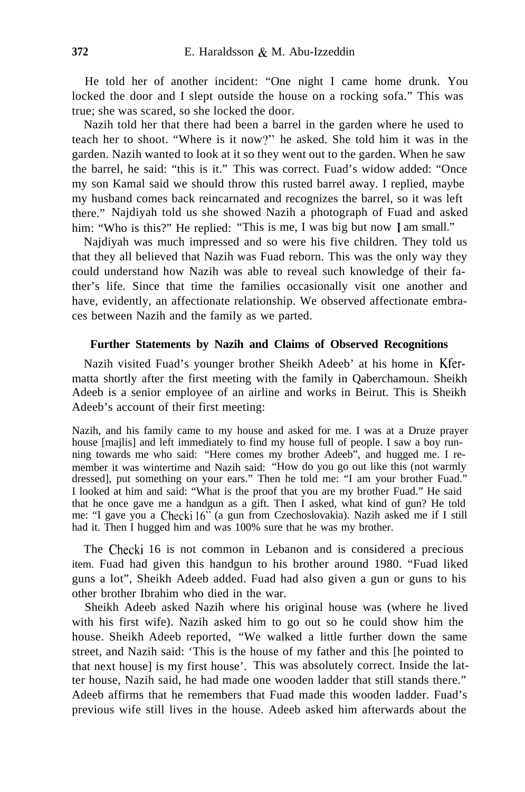He told her of another incident: "One night I came home drunk. You locked the door and I slept outside the house on a rocking sofa." This was true; she was scared, so she locked the door.

Nazih told her that there had been a barrel in the garden where he used to teach her to shoot. "Where is it now?" he asked. She told him it was in the garden. Nazih wanted to look at it so they went out to the garden. When he saw the barrel, he said: "this is it." This was correct. Fuad's widow added: "Once my son Kamal said we should throw this rusted barrel away. I replied, maybe my husband comes back reincarnated and recognizes the barrel, so it was left there." Najdiyah told us she showed Nazih a photograph of Fuad and asked him: "Who is this?" He replied: "This is me, I was big but now I am small."

Najdiyah was much impressed and so were his five children. They told us that they all believed that Nazih was Fuad reborn. This was the only way they could understand how Nazih was able to reveal such knowledge of their father's life. Since that time the families occasionally visit one another and have, evidently, an affectionate relationship. We observed affectionate embraces between Nazih and the family as we parted.

## **Further Statements by Nazih and Claims of Observed Recognitions**

Nazih visited Fuad's younger brother Sheikh Adeeb' at his home in Kfermatta shortly after the first meeting with the family in Qaberchamoun. Sheikh Adeeb is a senior employee of an airline and works in Beirut. This is Sheikh Adeeb's account of their first meeting:

Nazih, and his family came to my house and asked for me. I was at a Druze prayer house [majlis] and left immediately to find my house full of people. I saw a boy running towards me who said: "Here comes my brother Adeeb", and hugged me. I remember it was wintertime and Nazih said: "How do you go out like this (not warmly dressed], put something on your ears." Then he told me: "I am your brother Fuad." I looked at him and said: "What is the proof that you are my brother Fuad." He said that he once gave me a handgun as a gift. Then I asked, what kind of gun? He told me: "I gave you a Checki 16" (a gun from Czechoslovakia). Nazih asked me if I still had it. Then I hugged him and was 100% sure that he was my brother.

The Checki 16 is not common in Lebanon and is considered a precious item. Fuad had given this handgun to his brother around 1980. "Fuad liked guns a lot", Sheikh Adeeb added. Fuad had also given a gun or guns to his other brother Ibrahim who died in the war.

Sheikh Adeeb asked Nazih where his original house was (where he lived with his first wife). Nazih asked him to go out so he could show him the house. Sheikh Adeeb reported, "We walked a little further down the same street, and Nazih said: 'This is the house of my father and this [he pointed to that next house] is my first house'. This was absolutely correct. Inside the latter house, Nazih said, he had made one wooden ladder that still stands there." Adeeb affirms that he remembers that Fuad made this wooden ladder. Fuad's previous wife still lives in the house. Adeeb asked him afterwards about the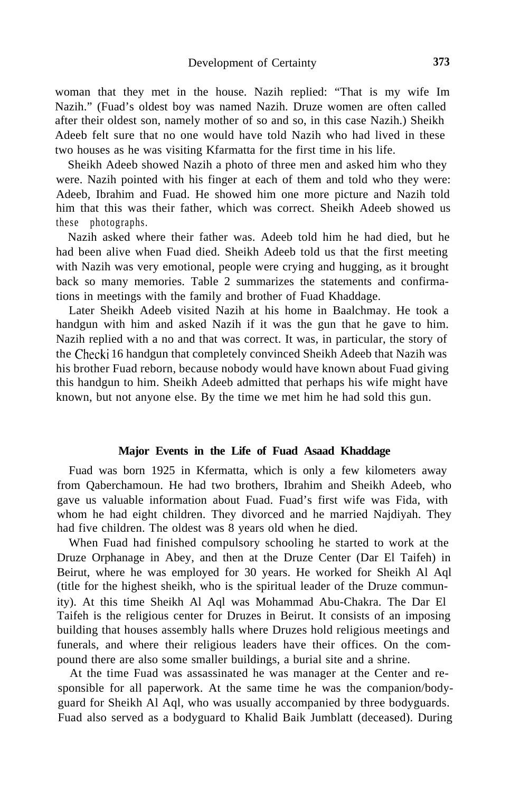woman that they met in the house. Nazih replied: "That is my wife Im Nazih." (Fuad's oldest boy was named Nazih. Druze women are often called after their oldest son, namely mother of so and so, in this case Nazih.) Sheikh Adeeb felt sure that no one would have told Nazih who had lived in these two houses as he was visiting Kfarmatta for the first time in his life.

Sheikh Adeeb showed Nazih a photo of three men and asked him who they were. Nazih pointed with his finger at each of them and told who they were: Adeeb, Ibrahim and Fuad. He showed him one more picture and Nazih told him that this was their father, which was correct. Sheikh Adeeb showed us these photographs.

Nazih asked where their father was. Adeeb told him he had died, but he had been alive when Fuad died. Sheikh Adeeb told us that the first meeting with Nazih was very emotional, people were crying and hugging, as it brought back so many memories. Table 2 summarizes the statements and confirmations in meetings with the family and brother of Fuad Khaddage.

Later Sheikh Adeeb visited Nazih at his home in Baalchmay. He took a handgun with him and asked Nazih if it was the gun that he gave to him. Nazih replied with a no and that was correct. It was, in particular, the story of the Checki 16 handgun that completely convinced Sheikh Adeeb that Nazih was his brother Fuad reborn, because nobody would have known about Fuad giving this handgun to him. Sheikh Adeeb admitted that perhaps his wife might have known, but not anyone else. By the time we met him he had sold this gun.

## **Major Events in the Life of Fuad Asaad Khaddage**

Fuad was born 1925 in Kfermatta, which is only a few kilometers away from Qaberchamoun. He had two brothers, Ibrahim and Sheikh Adeeb, who gave us valuable information about Fuad. Fuad's first wife was Fida, with whom he had eight children. They divorced and he married Najdiyah. They had five children. The oldest was 8 years old when he died.

When Fuad had finished compulsory schooling he started to work at the Druze Orphanage in Abey, and then at the Druze Center (Dar El Taifeh) in Beirut, where he was employed for 30 years. He worked for Sheikh Al Aql (title for the highest sheikh, who is the spiritual leader of the Druze community). At this time Sheikh Al Aql was Mohammad Abu-Chakra. The Dar El Taifeh is the religious center for Druzes in Beirut. It consists of an imposing building that houses assembly halls where Druzes hold religious meetings and funerals, and where their religious leaders have their offices. On the compound there are also some smaller buildings, a burial site and a shrine.

At the time Fuad was assassinated he was manager at the Center and responsible for all paperwork. At the same time he was the companion/bodyguard for Sheikh Al Aql, who was usually accompanied by three bodyguards. Fuad also served as a bodyguard to Khalid Baik Jumblatt (deceased). During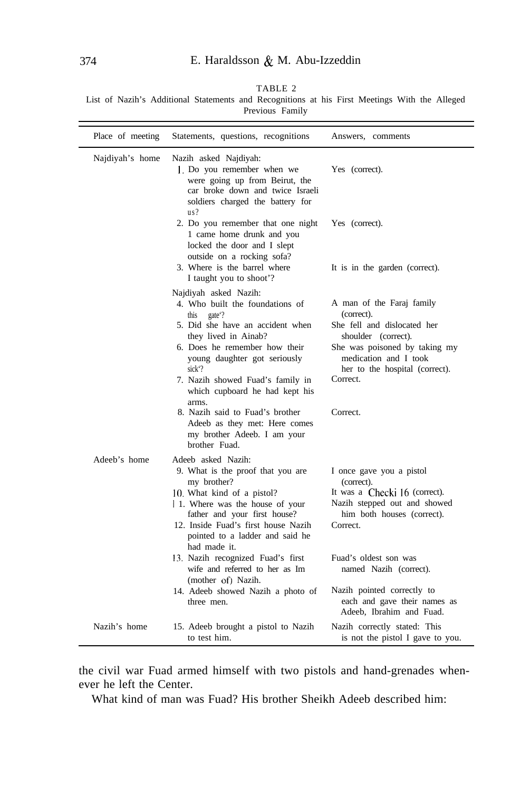| ABL. |  |
|------|--|
|------|--|

List of Nazih's Additional Statements and Recognitions at his First Meetings With the Alleged Previous Family

| Place of meeting | Statements, questions, recognitions                                                                                                                                                                                                                                                                           | Answers, comments                                                                                                                                                                                     |
|------------------|---------------------------------------------------------------------------------------------------------------------------------------------------------------------------------------------------------------------------------------------------------------------------------------------------------------|-------------------------------------------------------------------------------------------------------------------------------------------------------------------------------------------------------|
| Najdiyah's home  | Nazih asked Najdiyah:<br>1. Do you remember when we<br>were going up from Beirut, the<br>car broke down and twice Israeli<br>soldiers charged the battery for<br>us?                                                                                                                                          | Yes (correct).                                                                                                                                                                                        |
|                  | 2. Do you remember that one night<br>1 came home drunk and you<br>locked the door and I slept<br>outside on a rocking sofa?<br>3. Where is the barrel where                                                                                                                                                   | Yes (correct).<br>It is in the garden (correct).                                                                                                                                                      |
|                  | I taught you to shoot'?                                                                                                                                                                                                                                                                                       |                                                                                                                                                                                                       |
|                  | Najdiyah asked Nazih:<br>4. Who built the foundations of<br>this<br>gate <sup>"</sup> ?<br>5. Did she have an accident when<br>they lived in Ainab?<br>6. Does he remember how their<br>young daughter got seriously<br>sick'?<br>7. Nazih showed Fuad's family in<br>which cupboard he had kept his<br>arms. | A man of the Faraj family<br>(correct).<br>She fell and dislocated her<br>shoulder (correct).<br>She was poisoned by taking my<br>medication and I took<br>her to the hospital (correct).<br>Correct. |
|                  | 8. Nazih said to Fuad's brother<br>Adeeb as they met: Here comes<br>my brother Adeeb. I am your<br>brother Fuad.                                                                                                                                                                                              | Correct.                                                                                                                                                                                              |
| Adeeb's home     | Adeeb asked Nazih:<br>9. What is the proof that you are<br>my brother?<br>10. What kind of a pistol?<br>11. Where was the house of your<br>father and your first house?<br>12. Inside Fuad's first house Nazih<br>pointed to a ladder and said he<br>had made it.                                             | I once gave you a pistol<br>(correct).<br>It was a Checki 16 (correct).<br>Nazih stepped out and showed<br>him both houses (correct).<br>Correct.                                                     |
|                  | 13. Nazih recognized Fuad's first<br>wife and referred to her as Im<br>(mother of) Nazih.                                                                                                                                                                                                                     | Fuad's oldest son was<br>named Nazih (correct).                                                                                                                                                       |
|                  | 14. Adeeb showed Nazih a photo of<br>three men.                                                                                                                                                                                                                                                               | Nazih pointed correctly to<br>each and gave their names as<br>Adeeb. Ibrahim and Fuad.                                                                                                                |
| Nazih's home     | 15. Adeeb brought a pistol to Nazih<br>to test him.                                                                                                                                                                                                                                                           | Nazih correctly stated: This<br>is not the pistol I gave to you.                                                                                                                                      |

the civil war Fuad armed himself with two pistols and hand-grenades whenever he left the Center.

What kind of man was Fuad? His brother Sheikh Adeeb described him: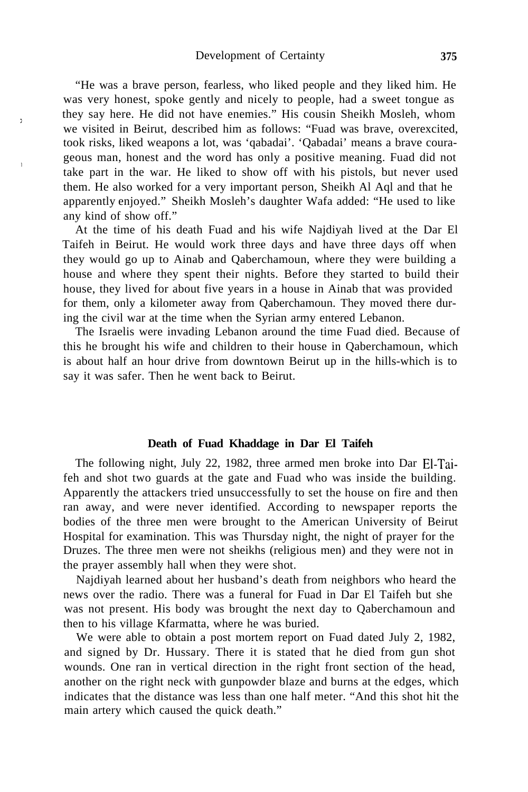"He was a brave person, fearless, who liked people and they liked him. He was very honest, spoke gently and nicely to people, had a sweet tongue as they say here. He did not have enemies." His cousin Sheikh Mosleh, whom we visited in Beirut, described him as follows: "Fuad was brave, overexcited, took risks, liked weapons a lot, was 'qabadai'. 'Qabadai' means a brave courageous man, honest and the word has only a positive meaning. Fuad did not take part in the war. He liked to show off with his pistols, but never used them. He also worked for a very important person, Sheikh Al Aql and that he apparently enjoyed." Sheikh Mosleh's daughter Wafa added: "He used to like any kind of show off."

Ŷ.

í.

At the time of his death Fuad and his wife Najdiyah lived at the Dar El Taifeh in Beirut. He would work three days and have three days off when they would go up to Ainab and Qaberchamoun, where they were building a house and where they spent their nights. Before they started to build their house, they lived for about five years in a house in Ainab that was provided for them, only a kilometer away from Qaberchamoun. They moved there during the civil war at the time when the Syrian army entered Lebanon.

The Israelis were invading Lebanon around the time Fuad died. Because of this he brought his wife and children to their house in Qaberchamoun, which is about half an hour drive from downtown Beirut up in the hills-which is to say it was safer. Then he went back to Beirut.

#### **Death of Fuad Khaddage in Dar El Taifeh**

The following night, July 22, 1982, three armed men broke into Dar El-Taifeh and shot two guards at the gate and Fuad who was inside the building. Apparently the attackers tried unsuccessfully to set the house on fire and then ran away, and were never identified. According to newspaper reports the bodies of the three men were brought to the American University of Beirut Hospital for examination. This was Thursday night, the night of prayer for the Druzes. The three men were not sheikhs (religious men) and they were not in the prayer assembly hall when they were shot.

Najdiyah learned about her husband's death from neighbors who heard the news over the radio. There was a funeral for Fuad in Dar El Taifeh but she was not present. His body was brought the next day to Qaberchamoun and then to his village Kfarmatta, where he was buried.

We were able to obtain a post mortem report on Fuad dated July 2, 1982, and signed by Dr. Hussary. There it is stated that he died from gun shot wounds. One ran in vertical direction in the right front section of the head, another on the right neck with gunpowder blaze and burns at the edges, which indicates that the distance was less than one half meter. "And this shot hit the main artery which caused the quick death."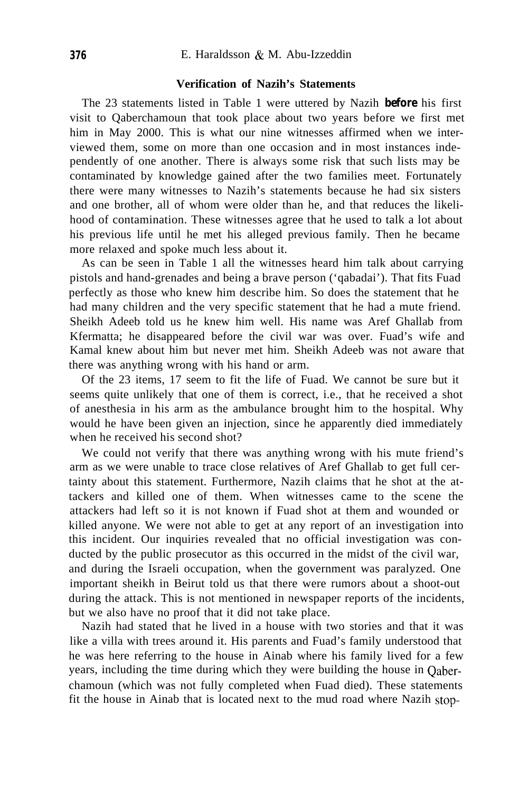#### **Verification of Nazih's Statements**

The 23 statements listed in Table 1 were uttered by Nazih *before* his first visit to Qaberchamoun that took place about two years before we first met him in May 2000. This is what our nine witnesses affirmed when we interviewed them, some on more than one occasion and in most instances independently of one another. There is always some risk that such lists may be contaminated by knowledge gained after the two families meet. Fortunately there were many witnesses to Nazih's statements because he had six sisters and one brother, all of whom were older than he, and that reduces the likelihood of contamination. These witnesses agree that he used to talk a lot about his previous life until he met his alleged previous family. Then he became more relaxed and spoke much less about it.

As can be seen in Table 1 all the witnesses heard him talk about carrying pistols and hand-grenades and being a brave person ('qabadai'). That fits Fuad perfectly as those who knew him describe him. So does the statement that he had many children and the very specific statement that he had a mute friend. Sheikh Adeeb told us he knew him well. His name was Aref Ghallab from Kfermatta; he disappeared before the civil war was over. Fuad's wife and Kamal knew about him but never met him. Sheikh Adeeb was not aware that there was anything wrong with his hand or arm.

Of the 23 items, 17 seem to fit the life of Fuad. We cannot be sure but it seems quite unlikely that one of them is correct, i.e., that he received a shot of anesthesia in his arm as the ambulance brought him to the hospital. Why would he have been given an injection, since he apparently died immediately when he received his second shot?

We could not verify that there was anything wrong with his mute friend's arm as we were unable to trace close relatives of Aref Ghallab to get full certainty about this statement. Furthermore, Nazih claims that he shot at the attackers and killed one of them. When witnesses came to the scene the attackers had left so it is not known if Fuad shot at them and wounded or killed anyone. We were not able to get at any report of an investigation into this incident. Our inquiries revealed that no official investigation was conducted by the public prosecutor as this occurred in the midst of the civil war, and during the Israeli occupation, when the government was paralyzed. One important sheikh in Beirut told us that there were rumors about a shoot-out during the attack. This is not mentioned in newspaper reports of the incidents, but we also have no proof that it did not take place.

Nazih had stated that he lived in a house with two stories and that it was like a villa with trees around it. His parents and Fuad's family understood that he was here referring to the house in Ainab where his family lived for a few years, including the time during which they were building the house in Qaberchamoun (which was not fully completed when Fuad died). These statements fit the house in Ainab that is located next to the mud road where Nazih stop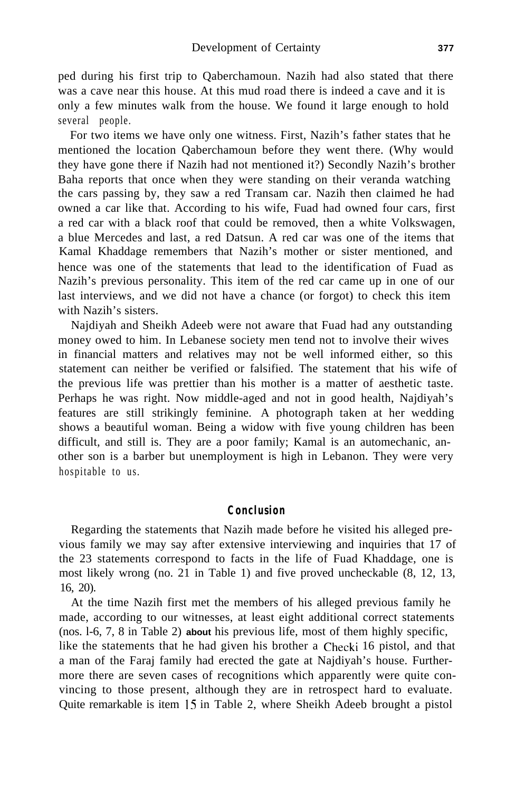ped during his first trip to Qaberchamoun. Nazih had also stated that there was a cave near this house. At this mud road there is indeed a cave and it is only a few minutes walk from the house. We found it large enough to hold several people.

For two items we have only one witness. First, Nazih's father states that he mentioned the location Qaberchamoun before they went there. (Why would they have gone there if Nazih had not mentioned it?) Secondly Nazih's brother Baha reports that once when they were standing on their veranda watching the cars passing by, they saw a red Transam car. Nazih then claimed he had owned a car like that. According to his wife, Fuad had owned four cars, first a red car with a black roof that could be removed, then a white Volkswagen, a blue Mercedes and last, a red Datsun. A red car was one of the items that Kamal Khaddage remembers that Nazih's mother or sister mentioned, and hence was one of the statements that lead to the identification of Fuad as Nazih's previous personality. This item of the red car came up in one of our last interviews, and we did not have a chance (or forgot) to check this item with Nazih's sisters.

Najdiyah and Sheikh Adeeb were not aware that Fuad had any outstanding money owed to him. In Lebanese society men tend not to involve their wives in financial matters and relatives may not be well informed either, so this statement can neither be verified or falsified. The statement that his wife of the previous life was prettier than his mother is a matter of aesthetic taste. Perhaps he was right. Now middle-aged and not in good health, Najdiyah's features are still strikingly feminine. A photograph taken at her wedding shows a beautiful woman. Being a widow with five young children has been difficult, and still is. They are a poor family; Kamal is an automechanic, another son is a barber but unemployment is high in Lebanon. They were very hospitable to us.

## **Conclusion**

Regarding the statements that Nazih made before he visited his alleged previous family we may say after extensive interviewing and inquiries that 17 of the 23 statements correspond to facts in the life of Fuad Khaddage, one is most likely wrong (no. 21 in Table 1) and five proved uncheckable (8, 12, 13, 16, 20).

At the time Nazih first met the members of his alleged previous family he made, according to our witnesses, at least eight additional correct statements (nos. l-6, 7, 8 in Table 2) **about** his previous life, most of them highly specific, like the statements that he had given his brother a Checki 16 pistol, and that a man of the Faraj family had erected the gate at Najdiyah's house. Furthermore there are seven cases of recognitions which apparently were quite convincing to those present, although they are in retrospect hard to evaluate. Quite remarkable is item 15 in Table 2, where Sheikh Adeeb brought a pistol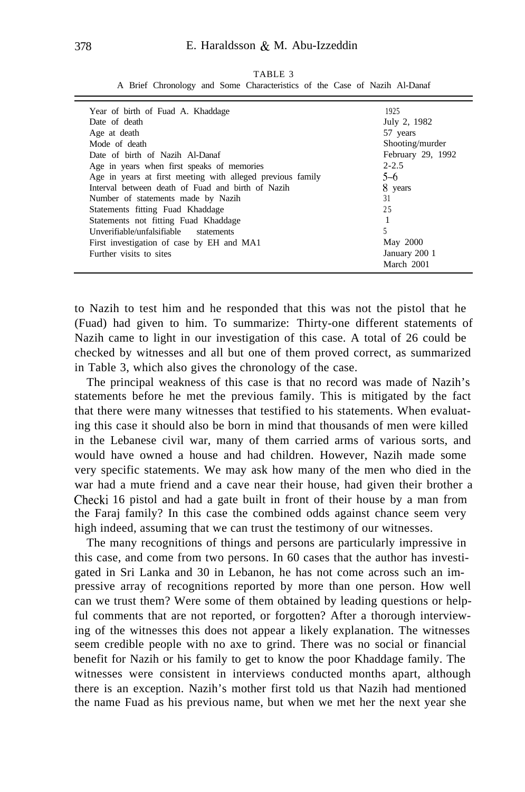| Year of birth of Fuad A. Khaddage                          | 1925              |
|------------------------------------------------------------|-------------------|
| Date of death                                              | July 2, 1982      |
| Age at death                                               | 57 years          |
| Mode of death                                              | Shooting/murder   |
| Date of birth of Nazih Al-Danaf                            | February 29, 1992 |
| Age in years when first speaks of memories                 | $2 - 2.5$         |
| Age in years at first meeting with alleged previous family | $5 - 6$           |
| Interval between death of Fuad and birth of Nazih          | 8 years           |
| Number of statements made by Nazih                         | 31                |
| Statements fitting Fuad Khaddage                           | 25                |
| Statements not fitting Fuad Khaddage                       |                   |
| Unverifiable/unfalsifiable<br>statements                   | 5                 |
| First investigation of case by EH and MA1                  | May 2000          |
| Further visits to sites                                    | January 200 1     |
|                                                            | March 2001        |
|                                                            |                   |

TABLE 3 A Brief Chronology and Some Characteristics of the Case of Nazih Al-Danaf

to Nazih to test him and he responded that this was not the pistol that he (Fuad) had given to him. To summarize: Thirty-one different statements of Nazih came to light in our investigation of this case. A total of 26 could be checked by witnesses and all but one of them proved correct, as summarized in Table 3, which also gives the chronology of the case.

The principal weakness of this case is that no record was made of Nazih's statements before he met the previous family. This is mitigated by the fact that there were many witnesses that testified to his statements. When evaluating this case it should also be born in mind that thousands of men were killed in the Lebanese civil war, many of them carried arms of various sorts, and would have owned a house and had children. However, Nazih made some very specific statements. We may ask how many of the men who died in the war had a mute friend and a cave near their house, had given their brother a Checki 16 pistol and had a gate built in front of their house by a man from the Faraj family? In this case the combined odds against chance seem very high indeed, assuming that we can trust the testimony of our witnesses.

The many recognitions of things and persons are particularly impressive in this case, and come from two persons. In 60 cases that the author has investigated in Sri Lanka and 30 in Lebanon, he has not come across such an impressive array of recognitions reported by more than one person. How well can we trust them? Were some of them obtained by leading questions or helpful comments that are not reported, or forgotten? After a thorough interviewing of the witnesses this does not appear a likely explanation. The witnesses seem credible people with no axe to grind. There was no social or financial benefit for Nazih or his family to get to know the poor Khaddage family. The witnesses were consistent in interviews conducted months apart, although there is an exception. Nazih's mother first told us that Nazih had mentioned the name Fuad as his previous name, but when we met her the next year she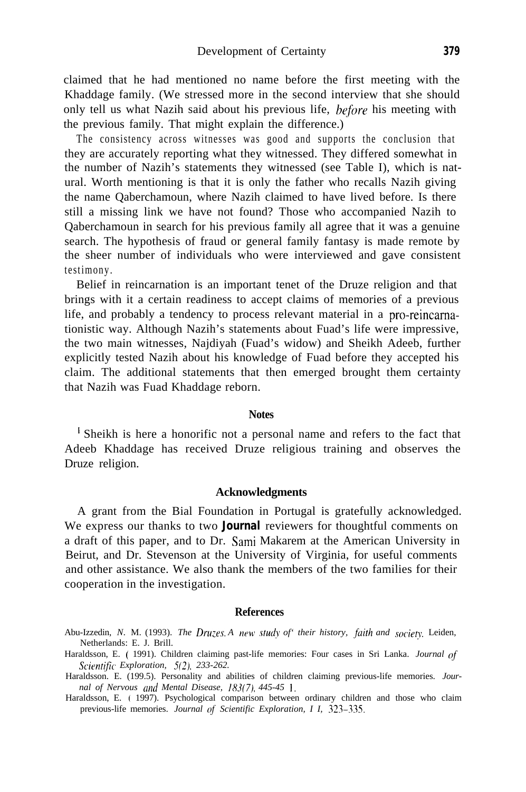claimed that he had mentioned no name before the first meeting with the Khaddage family. (We stressed more in the second interview that she should only tell us what Nazih said about his previous life, *hefore* his meeting with the previous family. That might explain the difference.)

The consistency across witnesses was good and supports the conclusion that they are accurately reporting what they witnessed. They differed somewhat in the number of Nazih's statements they witnessed (see Table I), which is natural. Worth mentioning is that it is only the father who recalls Nazih giving the name Qaberchamoun, where Nazih claimed to have lived before. Is there still a missing link we have not found? Those who accompanied Nazih to Qaberchamoun in search for his previous family all agree that it was a genuine search. The hypothesis of fraud or general family fantasy is made remote by the sheer number of individuals who were interviewed and gave consistent testimony.

Belief in reincarnation is an important tenet of the Druze religion and that brings with it a certain readiness to accept claims of memories of a previous life, and probably a tendency to process relevant material in a pro-reincarnationistic way. Although Nazih's statements about Fuad's life were impressive, the two main witnesses, Najdiyah (Fuad's widow) and Sheikh Adeeb, further explicitly tested Nazih about his knowledge of Fuad before they accepted his claim. The additional statements that then emerged brought them certainty that Nazih was Fuad Khaddage reborn.

#### **Notes**

<sup>I</sup> Sheikh is here a honorific not a personal name and refers to the fact that Adeeb Khaddage has received Druze religious training and observes the Druze religion.

#### **Acknowledgments**

A grant from the Bial Foundation in Portugal is gratefully acknowledged. We express our thanks to two *Journal* reviewers for thoughtful comments on a draft of this paper, and to Dr. Sami Makarem at the American University in Beirut, and Dr. Stevenson at the University of Virginia, for useful comments and other assistance. We also thank the members of the two families for their cooperation in the investigation.

#### **References**

- Abu-Izzedin, *N. M. (1993). The Druzes. A new study of their history, faith and society. Leiden,* Netherlands: E. J. Brill.
- Haraldsson, E. ( 1991). Children claiming past-life memories: Four cases in Sri Lanka. *Journal of Scienttfic Exploration, 5(2), 233-262.*
- Haraldsson. E. (199.5). Personality and abilities of children claiming previous-life memories. *Journal of Nervous and Mental Disease, 183(7), 445-45* 1 .
- Haraldsson, E. ( 1997). Psychological comparison between ordinary children and those who claim previous-life memories. *Journal of Scientific Exploration, I I, 323-335.*